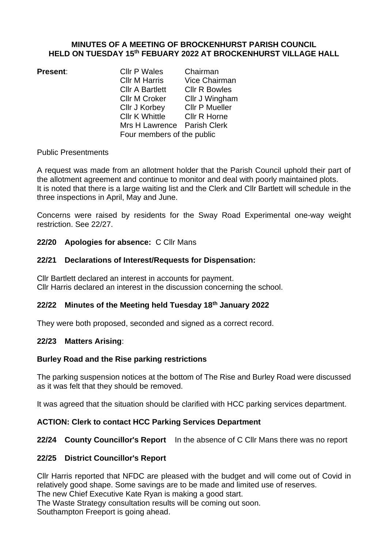## **MINUTES OF A MEETING OF BROCKENHURST PARISH COUNCIL HELD ON TUESDAY 15 th FEBUARY 2022 AT BROCKENHURST VILLAGE HALL**

**Present:** Cllr P Wales Chairman<br>Cllr M Harris Vice Chair Vice Chairman Cllr A Bartlett Cllr R Bowles Cllr M Croker Cllr J Wingham Cllr J Korbey Cllr P Mueller<br>Cllr K Whittle Cllr R Horne Cllr K Whittle Mrs H Lawrence Parish Clerk Four members of the public

## Public Presentments

A request was made from an allotment holder that the Parish Council uphold their part of the allotment agreement and continue to monitor and deal with poorly maintained plots. It is noted that there is a large waiting list and the Clerk and Cllr Bartlett will schedule in the three inspections in April, May and June.

Concerns were raised by residents for the Sway Road Experimental one-way weight restriction. See 22/27.

## **22/20 Apologies for absence:** C Cllr Mans

## **22/21 Declarations of Interest/Requests for Dispensation:**

Cllr Bartlett declared an interest in accounts for payment. Cllr Harris declared an interest in the discussion concerning the school.

# **22/22 Minutes of the Meeting held Tuesday 18th January 2022**

They were both proposed, seconded and signed as a correct record.

## **22/23 Matters Arising**:

## **Burley Road and the Rise parking restrictions**

The parking suspension notices at the bottom of The Rise and Burley Road were discussed as it was felt that they should be removed.

It was agreed that the situation should be clarified with HCC parking services department.

## **ACTION: Clerk to contact HCC Parking Services Department**

## **22/24 County Councillor's Report** In the absence of C Cllr Mans there was no report

## **22/25 District Councillor's Report**

Cllr Harris reported that NFDC are pleased with the budget and will come out of Covid in relatively good shape. Some savings are to be made and limited use of reserves.

The new Chief Executive Kate Ryan is making a good start.

The Waste Strategy consultation results will be coming out soon.

Southampton Freeport is going ahead.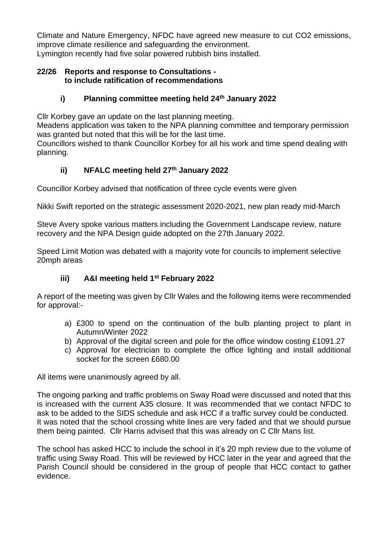Climate and Nature Emergency, NFDC have agreed new measure to cut CO2 emissions, improve climate resilience and safeguarding the environment. Lymington recently had five solar powered rubbish bins installed.

## **22/26 Reports and response to Consultations to include ratification of recommendations**

# **i) Planning committee meeting held 24th January 2022**

Cllr Korbey gave an update on the last planning meeting.

Meadens application was taken to the NPA planning committee and temporary permission was granted but noted that this will be for the last time.

Councillors wished to thank Councillor Korbey for all his work and time spend dealing with planning.

# **ii) NFALC meeting held 27th January 2022**

Councillor Korbey advised that notification of three cycle events were given

Nikki Swift reported on the strategic assessment 2020-2021, new plan ready mid-March

Steve Avery spoke various matters including the Government Landscape review, nature recovery and the NPA Design guide adopted on the 27th January 2022.

Speed Limit Motion was debated with a majority vote for councils to implement selective 20mph areas

# **iii) A&I meeting held 1st February 2022**

A report of the meeting was given by Cllr Wales and the following items were recommended for approval:-

- a) £300 to spend on the continuation of the bulb planting project to plant in Autumn/Winter 2022
- b) Approval of the digital screen and pole for the office window costing £1091.27
- c) Approval for electrician to complete the office lighting and install additional socket for the screen £680.00

All items were unanimously agreed by all.

The ongoing parking and traffic problems on Sway Road were discussed and noted that this is increased with the current A35 closure. It was recommended that we contact NFDC to ask to be added to the SIDS schedule and ask HCC if a traffic survey could be conducted. It was noted that the school crossing white lines are very faded and that we should pursue them being painted. Cllr Harris advised that this was already on C Cllr Mans list.

The school has asked HCC to include the school in it's 20 mph review due to the volume of traffic using Sway Road. This will be reviewed by HCC later in the year and agreed that the Parish Council should be considered in the group of people that HCC contact to gather evidence.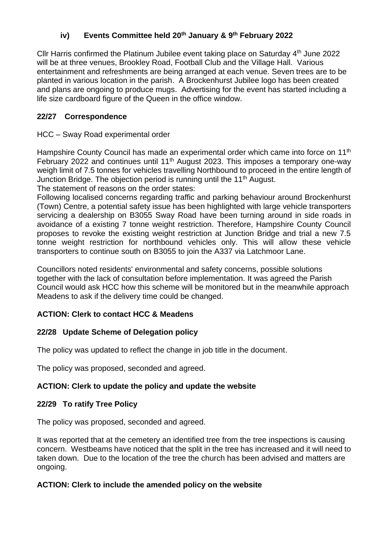# **iv) Events Committee held 20th January & 9 th February 2022**

Cllr Harris confirmed the Platinum Jubilee event taking place on Saturday 4<sup>th</sup> June 2022 will be at three venues, Brookley Road, Football Club and the Village Hall. Various entertainment and refreshments are being arranged at each venue. Seven trees are to be planted in various location in the parish. A Brockenhurst Jubilee logo has been created and plans are ongoing to produce mugs. Advertising for the event has started including a life size cardboard figure of the Queen in the office window.

# **22/27 Correspondence**

# HCC – Sway Road experimental order

Hampshire County Council has made an experimental order which came into force on 11<sup>th</sup> February 2022 and continues until 11<sup>th</sup> August 2023. This imposes a temporary one-way weigh limit of 7.5 tonnes for vehicles travelling Northbound to proceed in the entire length of Junction Bridge. The objection period is running until the 11<sup>th</sup> August.

The statement of reasons on the order states:

Following localised concerns regarding traffic and parking behaviour around Brockenhurst (Town) Centre, a potential safety issue has been highlighted with large vehicle transporters servicing a dealership on B3055 Sway Road have been turning around in side roads in avoidance of a existing 7 tonne weight restriction. Therefore, Hampshire County Council proposes to revoke the existing weight restriction at Junction Bridge and trial a new 7.5 tonne weight restriction for northbound vehicles only. This will allow these vehicle transporters to continue south on B3055 to join the A337 via Latchmoor Lane.

Councillors noted residents' environmental and safety concerns, possible solutions together with the lack of consultation before implementation. It was agreed the Parish Council would ask HCC how this scheme will be monitored but in the meanwhile approach Meadens to ask if the delivery time could be changed.

# **ACTION: Clerk to contact HCC & Meadens**

# **22/28 Update Scheme of Delegation policy**

The policy was updated to reflect the change in job title in the document.

The policy was proposed, seconded and agreed.

# **ACTION: Clerk to update the policy and update the website**

# **22/29 To ratify Tree Policy**

The policy was proposed, seconded and agreed.

It was reported that at the cemetery an identified tree from the tree inspections is causing concern. Westbeams have noticed that the split in the tree has increased and it will need to taken down. Due to the location of the tree the church has been advised and matters are ongoing.

# **ACTION: Clerk to include the amended policy on the website**